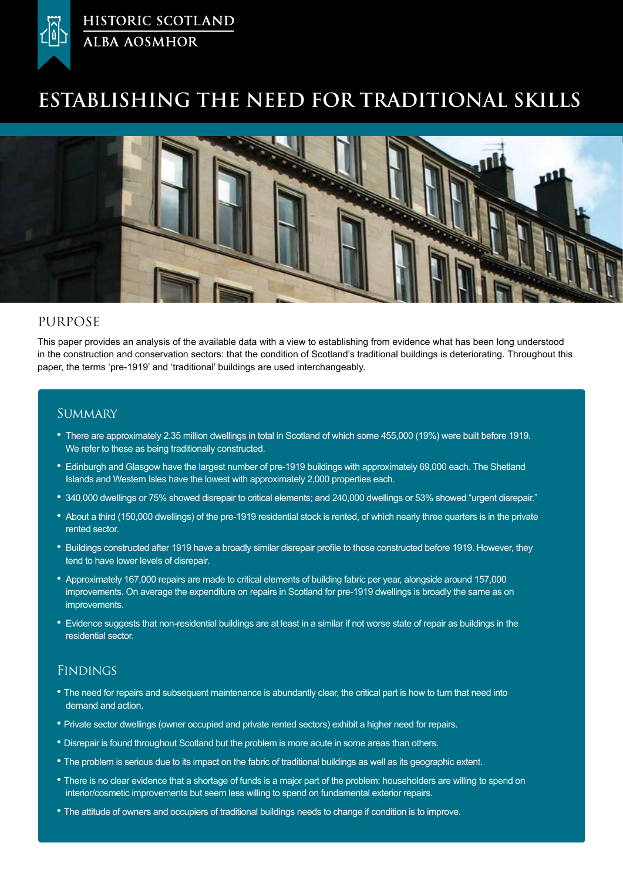

# **Establishing the need for traditional Skills**



### PURPOSE

This paper provides an analysis of the available data with a view to establishing from evidence what has been long understood in the construction and conservation sectors: that the condition of Scotland's traditional buildings is deteriorating. Throughout this paper, the terms 'pre-1919' and 'traditional' buildings are used interchangeably.

### **SUMMARY**

- There are approximately 2.35 million dwellings in total in Scotland of which some 455,000 (19%) were built before 1919. We refer to these as being traditionally constructed.
- Edinburgh and Glasgow have the largest number of pre-1919 buildings with approximately 69,000 each. The Shetland Islands and Western Isles have the lowest with approximately 2,000 properties each.
- 340,000 dwellings or 75% showed disrepair to critical elements; and 240,000 dwellings or 53% showed "urgent disrepair."
- About a third (150,000 dwellings) of the pre-1919 residential stock is rented, of which nearly three quarters is in the private rented sector.
- Buildings constructed after 1919 have a broadly similar disrepair profile to those constructed before 1919. However, they tend to have lower levels of disrepair.
- Approximately 167,000 repairs are made to critical elements of building fabric per year, alongside around 157,000 improvements. On average the expenditure on repairs in Scotland for pre-1919 dwellings is broadly the same as on improvements.
- Evidence suggests that non-residential buildings are at least in a similar if not worse state of repair as buildings in the residential sector.

### **FINDINGS**

- The need for repairs and subsequent maintenance is abundantly clear, the critical part is how to turn that need into demand and action.
- Private sector dwellings (owner occupied and private rented sectors) exhibit a higher need for repairs.
- Disrepair is found throughout Scotland but the problem is more acute in some areas than others.
- The problem is serious due to its impact on the fabric of traditional buildings as well as its geographic extent.
- There is no clear evidence that a shortage of funds is a major part of the problem: householders are willing to spend on interior/cosmetic improvements but seem less willing to spend on fundamental exterior repairs.
- The attitude of owners and occupiers of traditional buildings needs to change if condition is to improve.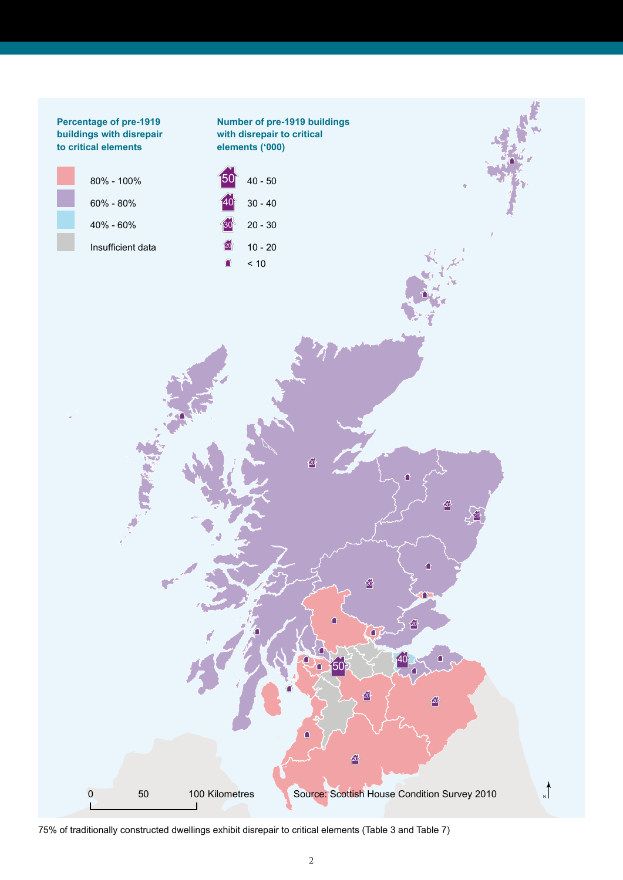

75% of traditionally constructed dwellings exhibit disrepair to critical elements (Table 3 and Table 7)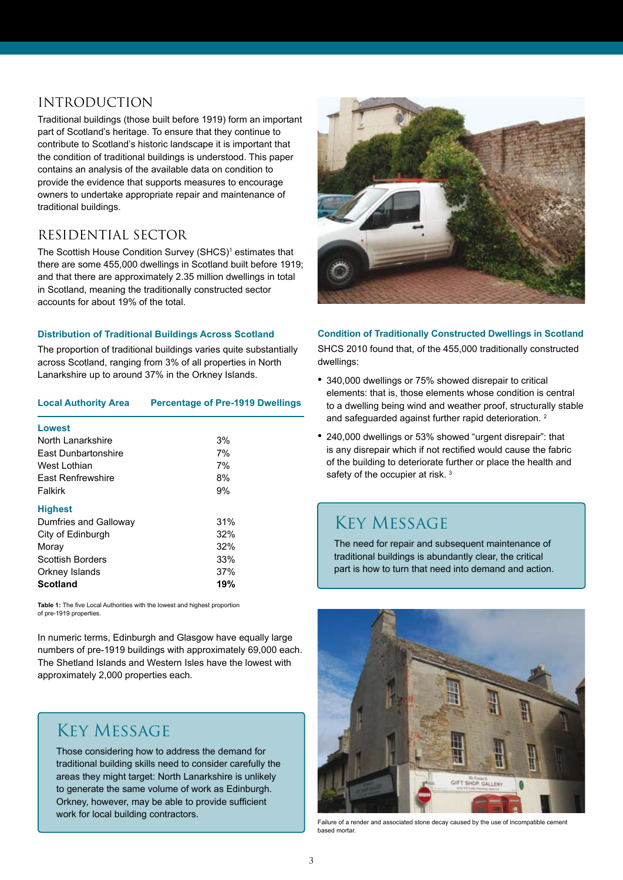## INTRODUCTION

Traditional buildings (those built before 1919) form an important part of Scotland's heritage. To ensure that they continue to contribute to Scotland's historic landscape it is important that the condition of traditional buildings is understood. This paper contains an analysis of the available data on condition to provide the evidence that supports measures to encourage owners to undertake appropriate repair and maintenance of traditional buildings.

### RESIDENTIAL SECTOR

The Scottish House Condition Survey (SHCS)<sup>1</sup> estimates that there are some 455,000 dwellings in Scotland built before 1919; and that there are approximately 2.35 million dwellings in total in Scotland, meaning the traditionally constructed sector accounts for about 19% of the total.

### **Distribution of Traditional Buildings Across Scotland**

The proportion of traditional buildings varies quite substantially across Scotland, ranging from 3% of all properties in North Lanarkshire up to around 37% in the Orkney Islands.

#### **Local Authority Area Percentage of Pre-1919 Dwellings**

| Lowest                   |     |
|--------------------------|-----|
| North Lanarkshire        | 3%  |
| East Dunbartonshire      | 7%  |
| West I othian            | 7%  |
| <b>Fast Renfrewshire</b> | 8%  |
| Falkirk                  | 9%  |
| <b>Highest</b>           |     |
| Dumfries and Galloway    | 31% |
| City of Edinburgh        | 32% |
| Moray                    | 32% |
| <b>Scottish Borders</b>  | 33% |
| Orkney Islands           | 37% |
| <b>Scotland</b>          | 19% |

**Table 1:** The five Local Authorities with the lowest and highest proportion of pre-1919 properties.

In numeric terms, Edinburgh and Glasgow have equally large numbers of pre-1919 buildings with approximately 69,000 each. The Shetland Islands and Western Isles have the lowest with approximately 2,000 properties each.

### Key Message

Those considering how to address the demand for traditional building skills need to consider carefully the areas they might target: North Lanarkshire is unlikely to generate the same volume of work as Edinburgh. Orkney, however, may be able to provide sufficient work for local building contractors.



#### **Condition of Traditionally Constructed Dwellings in Scotland**

SHCS 2010 found that, of the 455,000 traditionally constructed dwellings:

- 340,000 dwellings or 75% showed disrepair to critical elements: that is, those elements whose condition is central to a dwelling being wind and weather proof, structurally stable and safequarded against further rapid deterioration.<sup>2</sup>
- 240,000 dwellings or 53% showed "urgent disrepair": that is any disrepair which if not rectified would cause the fabric of the building to deteriorate further or place the health and safety of the occupier at risk.<sup>3</sup>

## Key Message

The need for repair and subsequent maintenance of traditional buildings is abundantly clear, the critical part is how to turn that need into demand and action.



Failure of a render and associated stone decay caused by the use of incompatible cement based mortar.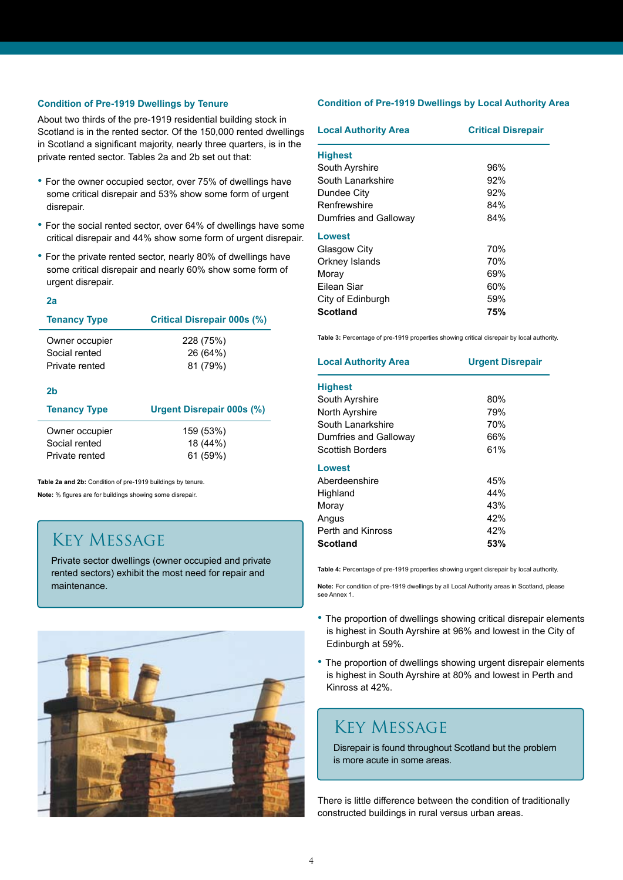#### **Condition of Pre-1919 Dwellings by Tenure**

About two thirds of the pre-1919 residential building stock in Scotland is in the rented sector. Of the 150,000 rented dwellings in Scotland a significant majority, nearly three quarters, is in the private rented sector. Tables 2a and 2b set out that:

- For the owner occupied sector, over 75% of dwellings have some critical disrepair and 53% show some form of urgent disrepair.
- For the social rented sector, over 64% of dwellings have some critical disrepair and 44% show some form of urgent disrepair.
- For the private rented sector, nearly 80% of dwellings have some critical disrepair and nearly 60% show some form of urgent disrepair.

#### **2a**

| <b>Tenancy Type</b> | <b>Critical Disrepair 000s (%)</b> |  |
|---------------------|------------------------------------|--|
| Owner occupier      | 228 (75%)                          |  |
| Social rented       | 26 (64%)                           |  |
| Private rented      | 81 (79%)                           |  |

#### **2b**

| <b>Tenancy Type</b> | <b>Urgent Disrepair 000s (%)</b> |
|---------------------|----------------------------------|
| Owner occupier      | 159 (53%)                        |
| Social rented       | 18 (44%)                         |
| Private rented      | 61 (59%)                         |

**Table 2a and 2b:** Condition of pre-1919 buildings by tenure. **Note:** % figures are for buildings showing some disrepair.

## Key Message

Private sector dwellings (owner occupied and private rented sectors) exhibit the most need for repair and maintenance.



#### **Condition of Pre-1919 Dwellings by Local Authority Area**

| <b>Local Authority Area</b> | <b>Critical Disrepair</b> |  |
|-----------------------------|---------------------------|--|
| <b>Highest</b>              |                           |  |
| South Ayrshire              | 96%                       |  |
| South Lanarkshire           | 92%                       |  |
| Dundee City                 | 92%                       |  |
| Renfrewshire                | 84%                       |  |
| Dumfries and Galloway       | 84%                       |  |
| Lowest                      |                           |  |
| Glasgow City                | 70%                       |  |
| Orkney Islands              | 70%                       |  |
| Moray                       | 69%                       |  |
| Filean Siar                 | 60%                       |  |
| City of Edinburgh           | 59%                       |  |
| Scotland                    | 75%                       |  |

**Table 3:** Percentage of pre-1919 properties showing critical disrepair by local authority.

| <b>Local Authority Area</b> | <b>Urgent Disrepair</b> |  |
|-----------------------------|-------------------------|--|
| <b>Highest</b>              |                         |  |
| South Ayrshire              | 80%                     |  |
| <b>North Avrshire</b>       | 79%                     |  |
| South Lanarkshire           | 70%                     |  |
| Dumfries and Galloway       | 66%                     |  |
| Scottish Borders            | 61%                     |  |
| Lowest                      |                         |  |
| Aberdeenshire               | 45%                     |  |
| Highland                    | 44%                     |  |
| Moray                       | 43%                     |  |
| Angus                       | 42%                     |  |
| Perth and Kinross           | 42%                     |  |
| Scotland                    | 53%                     |  |

**Table 4:** Percentage of pre-1919 properties showing urgent disrepair by local authority.

**Note:** For condition of pre-1919 dwellings by all Local Authority areas in Scotland, please see Annex 1.

- The proportion of dwellings showing critical disrepair elements is highest in South Ayrshire at 96% and lowest in the City of Edinburgh at 59%.
- The proportion of dwellings showing urgent disrepair elements is highest in South Ayrshire at 80% and lowest in Perth and Kinross at 42%.

## Key Message

Disrepair is found throughout Scotland but the problem is more acute in some areas.

There is little difference between the condition of traditionally constructed buildings in rural versus urban areas.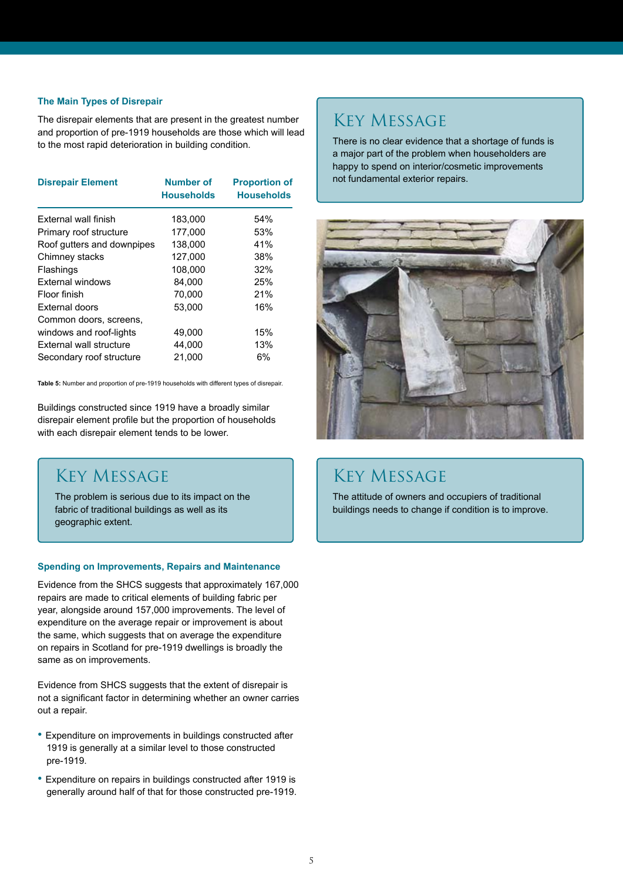#### **The Main Types of Disrepair**

The disrepair elements that are present in the greatest number and proportion of pre-1919 households are those which will lead to the most rapid deterioration in building condition.

| <b>Disrepair Element</b>   | <b>Number of</b><br><b>Households</b> | <b>Proportion of</b><br><b>Households</b> |
|----------------------------|---------------------------------------|-------------------------------------------|
| External wall finish       | 183,000                               | 54%                                       |
| Primary roof structure     | 177,000                               | 53%                                       |
| Roof gutters and downpipes | 138,000                               | 41%                                       |
| Chimney stacks             | 127,000                               | 38%                                       |
| Flashings                  | 108,000                               | 32%                                       |
| <b>External windows</b>    | 84,000                                | 25%                                       |
| Floor finish               | 70,000                                | 21%                                       |
| External doors             | 53,000                                | 16%                                       |
| Common doors, screens,     |                                       |                                           |
| windows and roof-lights    | 49,000                                | 15%                                       |
| External wall structure    | 44,000                                | 13%                                       |
| Secondary roof structure   | 21.000                                | 6%                                        |

**Table 5:** Number and proportion of pre-1919 households with different types of disrepair.

Buildings constructed since 1919 have a broadly similar disrepair element profile but the proportion of households with each disrepair element tends to be lower.

## Key Message

The problem is serious due to its impact on the fabric of traditional buildings as well as its geographic extent.

#### **Spending on Improvements, Repairs and Maintenance**

Evidence from the SHCS suggests that approximately 167,000 repairs are made to critical elements of building fabric per year, alongside around 157,000 improvements. The level of expenditure on the average repair or improvement is about the same, which suggests that on average the expenditure on repairs in Scotland for pre-1919 dwellings is broadly the same as on improvements.

Evidence from SHCS suggests that the extent of disrepair is not a significant factor in determining whether an owner carries out a repair.

- Expenditure on improvements in buildings constructed after 1919 is generally at a similar level to those constructed pre-1919.
- Expenditure on repairs in buildings constructed after 1919 is generally around half of that for those constructed pre-1919.

## Key Message

There is no clear evidence that a shortage of funds is a major part of the problem when householders are happy to spend on interior/cosmetic improvements not fundamental exterior repairs.



## Key Message

The attitude of owners and occupiers of traditional buildings needs to change if condition is to improve.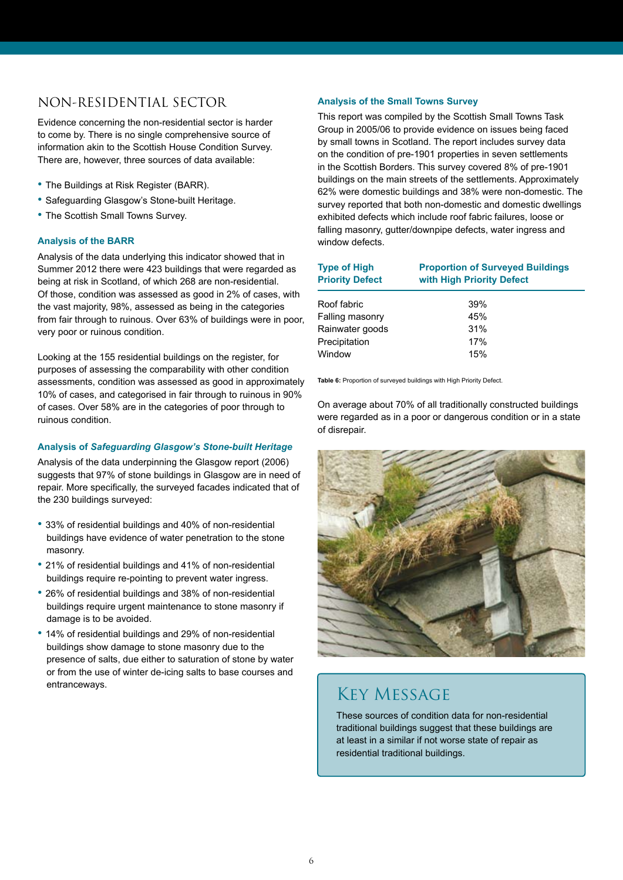### NON-RESIDENTIAL SECTOR

Evidence concerning the non-residential sector is harder to come by. There is no single comprehensive source of information akin to the Scottish House Condition Survey. There are, however, three sources of data available:

- The Buildings at Risk Register (BARR).
- Safeguarding Glasgow's Stone-built Heritage.
- The Scottish Small Towns Survey.

#### **Analysis of the BARR**

Analysis of the data underlying this indicator showed that in Summer 2012 there were 423 buildings that were regarded as being at risk in Scotland, of which 268 are non-residential. Of those, condition was assessed as good in 2% of cases, with the vast majority, 98%, assessed as being in the categories from fair through to ruinous. Over 63% of buildings were in poor, very poor or ruinous condition.

Looking at the 155 residential buildings on the register, for purposes of assessing the comparability with other condition assessments, condition was assessed as good in approximately 10% of cases, and categorised in fair through to ruinous in 90% of cases. Over 58% are in the categories of poor through to ruinous condition.

#### **Analysis of** *Safeguarding Glasgow's Stone-built Heritage*

Analysis of the data underpinning the Glasgow report (2006) suggests that 97% of stone buildings in Glasgow are in need of repair. More specifically, the surveyed facades indicated that of the 230 buildings surveyed:

- 33% of residential buildings and 40% of non-residential buildings have evidence of water penetration to the stone masonry.
- 21% of residential buildings and 41% of non-residential buildings require re-pointing to prevent water ingress.
- 26% of residential buildings and 38% of non-residential buildings require urgent maintenance to stone masonry if damage is to be avoided.
- 14% of residential buildings and 29% of non-residential buildings show damage to stone masonry due to the presence of salts, due either to saturation of stone by water or from the use of winter de-icing salts to base courses and entranceways.

### **Analysis of the Small Towns Survey**

This report was compiled by the Scottish Small Towns Task Group in 2005/06 to provide evidence on issues being faced by small towns in Scotland. The report includes survey data on the condition of pre-1901 properties in seven settlements in the Scottish Borders. This survey covered 8% of pre-1901 buildings on the main streets of the settlements. Approximately 62% were domestic buildings and 38% were non-domestic. The survey reported that both non-domestic and domestic dwellings exhibited defects which include roof fabric failures, loose or falling masonry, gutter/downpipe defects, water ingress and window defects.

| <b>Type of High</b><br><b>Priority Defect</b> | <b>Proportion of Surveyed Buildings</b><br>with High Priority Defect |
|-----------------------------------------------|----------------------------------------------------------------------|
| Roof fabric                                   | 39%                                                                  |
| Falling masonry                               | 45%                                                                  |
| Rainwater goods                               | 31%                                                                  |
| Precipitation                                 | 17%                                                                  |
| Window                                        | 15%                                                                  |
|                                               |                                                                      |

**Table 6:** Proportion of surveyed buildings with High Priority Defect.

On average about 70% of all traditionally constructed buildings were regarded as in a poor or dangerous condition or in a state of disrepair.



## Key Message

These sources of condition data for non-residential traditional buildings suggest that these buildings are at least in a similar if not worse state of repair as residential traditional buildings.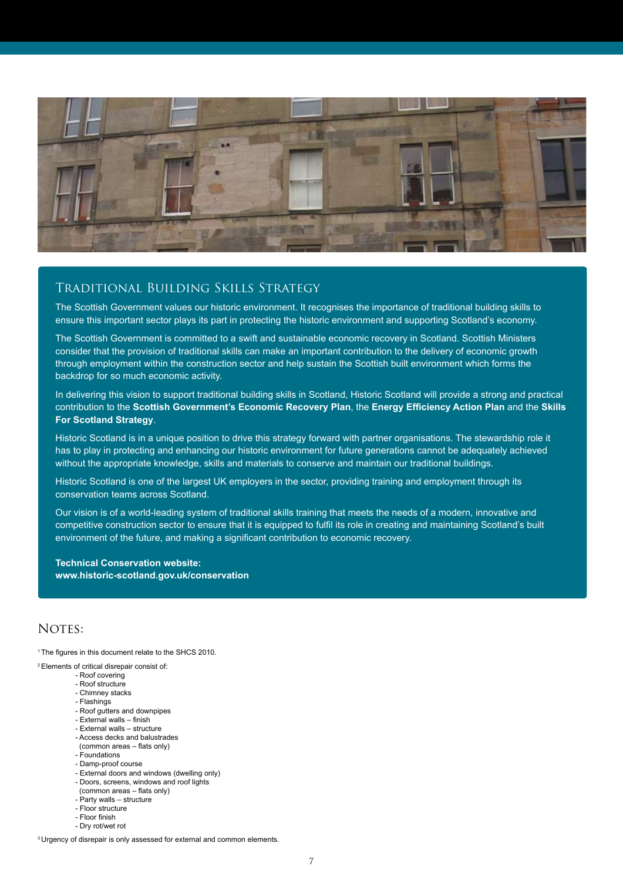

### Traditional Building Skills Strategy

The Scottish Government values our historic environment. It recognises the importance of traditional building skills to ensure this important sector plays its part in protecting the historic environment and supporting Scotland's economy.

The Scottish Government is committed to a swift and sustainable economic recovery in Scotland. Scottish Ministers consider that the provision of traditional skills can make an important contribution to the delivery of economic growth through employment within the construction sector and help sustain the Scottish built environment which forms the backdrop for so much economic activity.

In delivering this vision to support traditional building skills in Scotland, Historic Scotland will provide a strong and practical contribution to the **Scottish Government's Economic Recovery Plan**, the **Energy Efficiency Action Plan** and the **Skills For Scotland Strategy**.

Historic Scotland is in a unique position to drive this strategy forward with partner organisations. The stewardship role it has to play in protecting and enhancing our historic environment for future generations cannot be adequately achieved without the appropriate knowledge, skills and materials to conserve and maintain our traditional buildings.

Historic Scotland is one of the largest UK employers in the sector, providing training and employment through its conservation teams across Scotland.

Our vision is of a world-leading system of traditional skills training that meets the needs of a modern, innovative and competitive construction sector to ensure that it is equipped to fulfil its role in creating and maintaining Scotland's built environment of the future, and making a significant contribution to economic recovery.

**Technical Conservation website: www.historic-scotland.gov.uk/conservation**

### NOTES:

<sup>1</sup>The figures in this document relate to the SHCS 2010.

2 Elements of critical disrepair consist of:

- Roof covering
- Roof structure - Chimney stacks
- Flashings
- Roof gutters and downpipes
- External walls finish
- External walls structure
- Access decks and balustrades
- (common areas flats only)
- Foundations
- Damp-proof course
- External doors and windows (dwelling only)
- Doors, screens, windows and roof lights
- (common areas flats only)
- Party walls structure - Floor structure
- Floor finish
- Dry rot/wet rot

<sup>3</sup> Urgency of disrepair is only assessed for external and common elements.